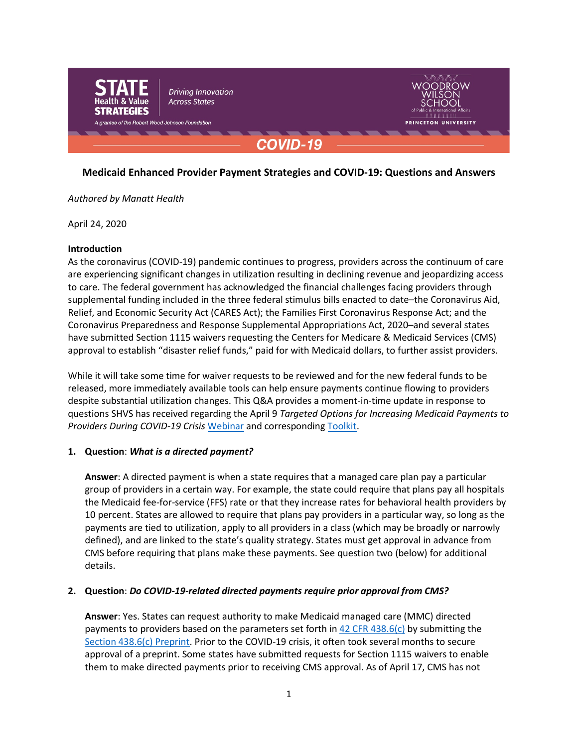

# **Medicaid Enhanced Provider Payment Strategies and COVID-19: Questions and Answers**

### *Authored by Manatt Health*

April 24, 2020

### **Introduction**

As the coronavirus (COVID-19) pandemic continues to progress, providers across the continuum of care are experiencing significant changes in utilization resulting in declining revenue and jeopardizing access to care. The federal government has acknowledged the financial challenges facing providers through supplemental funding included in the three federal stimulus bills enacted to date–the Coronavirus Aid, Relief, and Economic Security Act (CARES Act); the Families First Coronavirus Response Act; and the Coronavirus Preparedness and Response Supplemental Appropriations Act, 2020–and several states have submitted Section 1115 waivers requesting the Centers for Medicare & Medicaid Services (CMS) approval to establish "disaster relief funds," paid for with Medicaid dollars, to further assist providers.

While it will take some time for waiver requests to be reviewed and for the new federal funds to be released, more immediately available tools can help ensure payments continue flowing to providers despite substantial utilization changes. This Q&A provides a moment-in-time update in response to questions SHVS has received regarding the April 9 *Targeted Options for Increasing Medicaid Payments to Providers During COVID-19 Crisis* [Webinar](https://www.shvs.org/medicaid-enhanced-provider-payment-strategies/) and corresponding [Toolkit.](https://www.shvs.org/wp-content/uploads/2020/04/Targeted-Options-for-Increasing-Medicaid-Payments-to-Providers-During-COVID-19-Crisis.pdf)

### **1. Question**: *What is a directed payment?*

**Answer**: A directed payment is when a state requires that a managed care plan pay a particular group of providers in a certain way. For example, the state could require that plans pay all hospitals the Medicaid fee-for-service (FFS) rate or that they increase rates for behavioral health providers by 10 percent. States are allowed to require that plans pay providers in a particular way, so long as the payments are tied to utilization, apply to all providers in a class (which may be broadly or narrowly defined), and are linked to the state's quality strategy. States must get approval in advance from CMS before requiring that plans make these payments. See question two (below) for additional details.

### **2. Question**: *Do COVID-19-related directed payments require prior approval from CMS?*

**Answer**: Yes. States can request authority to make Medicaid managed care (MMC) directed payments to providers based on the parameters set forth in  $42$  CFR  $438.6(c)$  by submitting the [Section 438.6\(c\) Preprint.](https://www.medicaid.gov/Medicaid/downloads/438-preprint.pdf) Prior to the COVID-19 crisis, it often took several months to secure approval of a preprint. Some states have submitted requests for Section 1115 waivers to enable them to make directed payments prior to receiving CMS approval. As of April 17, CMS has not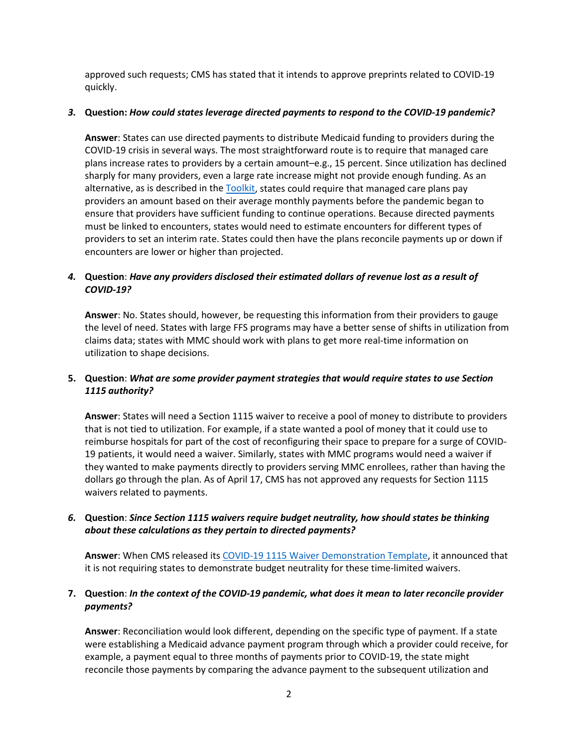approved such requests; CMS has stated that it intends to approve preprints related to COVID-19 quickly.

### *3.* **Question:** *How could states leverage directed payments to respond to the COVID-19 pandemic?*

**Answer**: States can use directed payments to distribute Medicaid funding to providers during the COVID-19 crisis in several ways. The most straightforward route is to require that managed care plans increase rates to providers by a certain amount–e.g., 15 percent. Since utilization has declined sharply for many providers, even a large rate increase might not provide enough funding. As an alternative, as is described in the [Toolkit,](https://www.shvs.org/wp-content/uploads/2020/04/Targeted-Options-for-Increasing-Medicaid-Payments-to-Providers-During-COVID-19-Crisis.pdf) states could require that managed care plans pay providers an amount based on their average monthly payments before the pandemic began to ensure that providers have sufficient funding to continue operations. Because directed payments must be linked to encounters, states would need to estimate encounters for different types of providers to set an interim rate. States could then have the plans reconcile payments up or down if encounters are lower or higher than projected.

## *4.* **Question**: *Have any providers disclosed their estimated dollars of revenue lost as a result of COVID-19?*

**Answer**: No. States should, however, be requesting this information from their providers to gauge the level of need. States with large FFS programs may have a better sense of shifts in utilization from claims data; states with MMC should work with plans to get more real-time information on utilization to shape decisions.

## **5. Question**: *What are some provider payment strategies that would require states to use Section 1115 authority?*

**Answer**: States will need a Section 1115 waiver to receive a pool of money to distribute to providers that is not tied to utilization. For example, if a state wanted a pool of money that it could use to reimburse hospitals for part of the cost of reconfiguring their space to prepare for a surge of COVID-19 patients, it would need a waiver. Similarly, states with MMC programs would need a waiver if they wanted to make payments directly to providers serving MMC enrollees, rather than having the dollars go through the plan. As of April 17, CMS has not approved any requests for Section 1115 waivers related to payments.

## *6.* **Question**: *Since Section 1115 waivers require budget neutrality, how should states be thinking about these calculations as they pertain to directed payments?*

**Answer**: When CMS released its COVID-19 [1115 Waiver Demonstration Template,](https://www.medicaid.gov/medicaid/section-1115-demonstrations/1115-application-process/index.html) it announced that it is not requiring states to demonstrate budget neutrality for these time-limited waivers.

## **7. Question**: *In the context of the COVID-19 pandemic, what does it mean to later reconcile provider payments?*

**Answer**: Reconciliation would look different, depending on the specific type of payment. If a state were establishing a Medicaid advance payment program through which a provider could receive, for example, a payment equal to three months of payments prior to COVID-19, the state might reconcile those payments by comparing the advance payment to the subsequent utilization and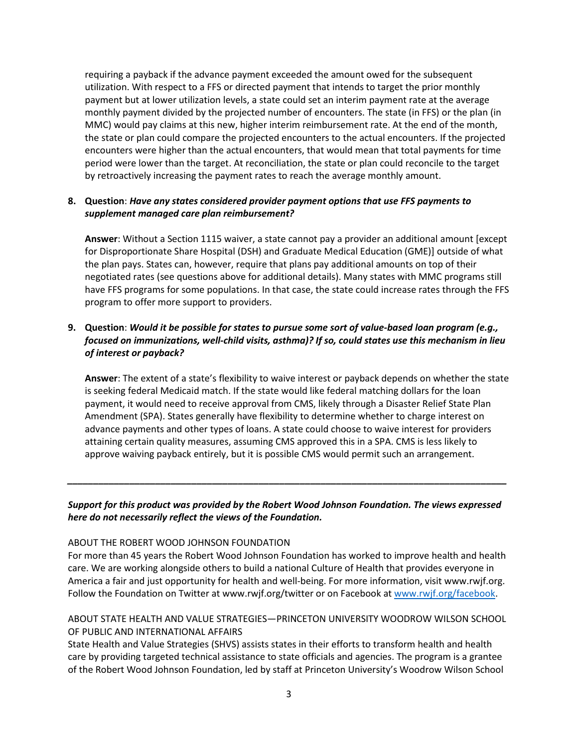requiring a payback if the advance payment exceeded the amount owed for the subsequent utilization. With respect to a FFS or directed payment that intends to target the prior monthly payment but at lower utilization levels, a state could set an interim payment rate at the average monthly payment divided by the projected number of encounters. The state (in FFS) or the plan (in MMC) would pay claims at this new, higher interim reimbursement rate. At the end of the month, the state or plan could compare the projected encounters to the actual encounters. If the projected encounters were higher than the actual encounters, that would mean that total payments for time period were lower than the target. At reconciliation, the state or plan could reconcile to the target by retroactively increasing the payment rates to reach the average monthly amount.

## **8. Question**: *Have any states considered provider payment options that use FFS payments to supplement managed care plan reimbursement?*

**Answer**: Without a Section 1115 waiver, a state cannot pay a provider an additional amount [except for Disproportionate Share Hospital (DSH) and Graduate Medical Education (GME)] outside of what the plan pays. States can, however, require that plans pay additional amounts on top of their negotiated rates (see questions above for additional details). Many states with MMC programs still have FFS programs for some populations. In that case, the state could increase rates through the FFS program to offer more support to providers.

# **9. Question**: *Would it be possible for states to pursue some sort of value-based loan program (e.g., focused on immunizations, well-child visits, asthma)? If so, could states use this mechanism in lieu of interest or payback?*

**Answer**: The extent of a state's flexibility to waive interest or payback depends on whether the state is seeking federal Medicaid match. If the state would like federal matching dollars for the loan payment, it would need to receive approval from CMS, likely through a Disaster Relief State Plan Amendment (SPA). States generally have flexibility to determine whether to charge interest on advance payments and other types of loans. A state could choose to waive interest for providers attaining certain quality measures, assuming CMS approved this in a SPA. CMS is less likely to approve waiving payback entirely, but it is possible CMS would permit such an arrangement.

## *Support for this product was provided by the Robert Wood Johnson Foundation. The views expressed here do not necessarily reflect the views of the Foundation.*

*\_\_\_\_\_\_\_\_\_\_\_\_\_\_\_\_\_\_\_\_\_\_\_\_\_\_\_\_\_\_\_\_\_\_\_\_\_\_\_\_\_\_\_\_\_\_\_\_\_\_\_\_\_\_\_\_\_\_\_\_\_\_\_\_\_\_\_\_\_\_\_\_\_\_\_\_\_\_\_\_\_\_\_\_\_*

### ABOUT THE ROBERT WOOD JOHNSON FOUNDATION

For more than 45 years the Robert Wood Johnson Foundation has worked to improve health and health care. We are working alongside others to build a national Culture of Health that provides everyone in America a fair and just opportunity for health and well-being. For more information, visit www.rwjf.org. Follow the Foundation on Twitter at www.rwjf.org/twitter or on Facebook a[t www.rwjf.org/facebook.](http://www.rwjf.org/facebook)

# ABOUT STATE HEALTH AND VALUE STRATEGIES—PRINCETON UNIVERSITY WOODROW WILSON SCHOOL OF PUBLIC AND INTERNATIONAL AFFAIRS

State Health and Value Strategies (SHVS) assists states in their efforts to transform health and health care by providing targeted technical assistance to state officials and agencies. The program is a grantee of the Robert Wood Johnson Foundation, led by staff at Princeton University's Woodrow Wilson School